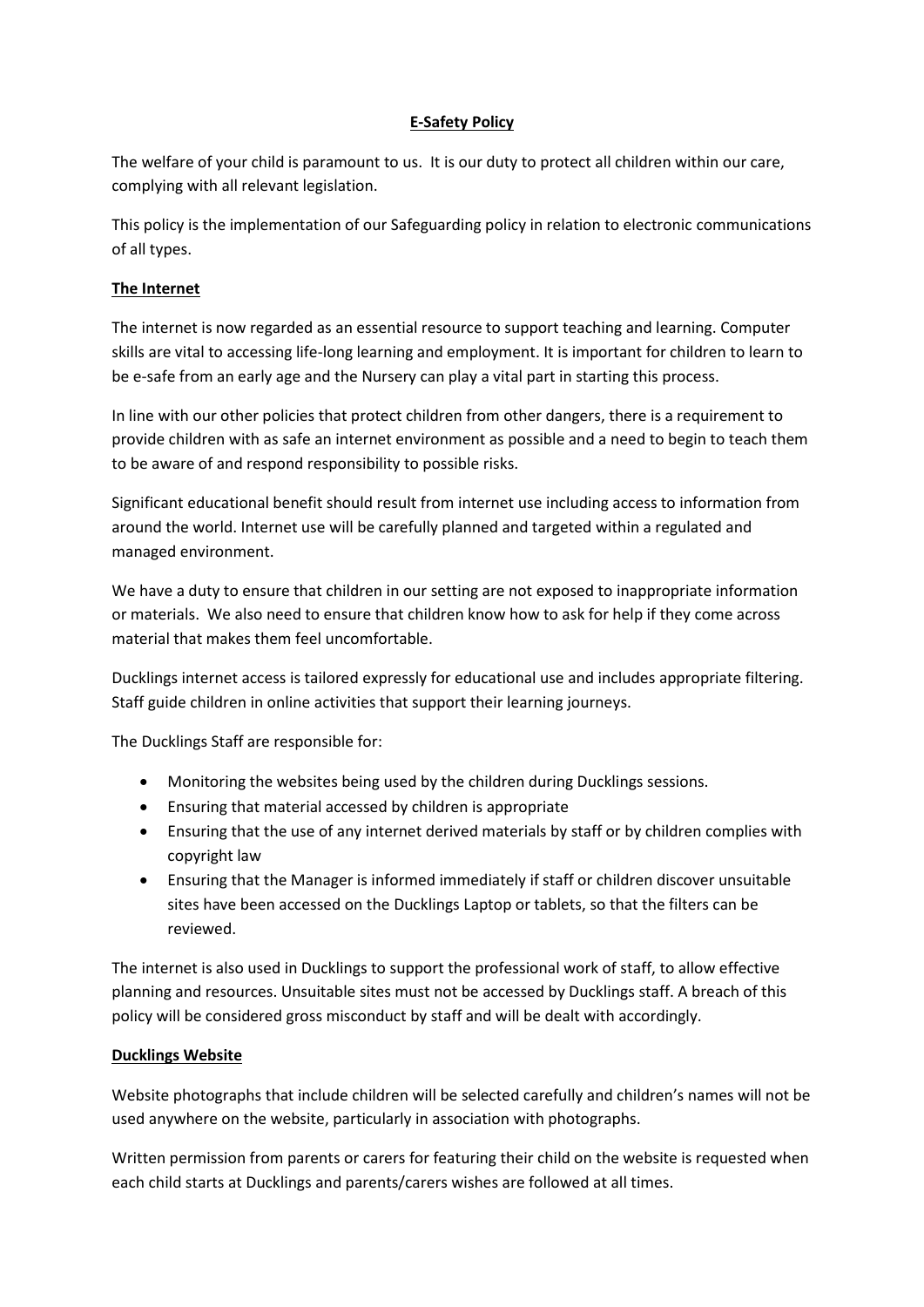# **E-Safety Policy**

The welfare of your child is paramount to us. It is our duty to protect all children within our care, complying with all relevant legislation.

This policy is the implementation of our Safeguarding policy in relation to electronic communications of all types.

# **The Internet**

The internet is now regarded as an essential resource to support teaching and learning. Computer skills are vital to accessing life-long learning and employment. It is important for children to learn to be e-safe from an early age and the Nursery can play a vital part in starting this process.

In line with our other policies that protect children from other dangers, there is a requirement to provide children with as safe an internet environment as possible and a need to begin to teach them to be aware of and respond responsibility to possible risks.

Significant educational benefit should result from internet use including access to information from around the world. Internet use will be carefully planned and targeted within a regulated and managed environment.

We have a duty to ensure that children in our setting are not exposed to inappropriate information or materials. We also need to ensure that children know how to ask for help if they come across material that makes them feel uncomfortable.

Ducklings internet access is tailored expressly for educational use and includes appropriate filtering. Staff guide children in online activities that support their learning journeys.

The Ducklings Staff are responsible for:

- Monitoring the websites being used by the children during Ducklings sessions.
- Ensuring that material accessed by children is appropriate
- Ensuring that the use of any internet derived materials by staff or by children complies with copyright law
- Ensuring that the Manager is informed immediately if staff or children discover unsuitable sites have been accessed on the Ducklings Laptop or tablets, so that the filters can be reviewed.

The internet is also used in Ducklings to support the professional work of staff, to allow effective planning and resources. Unsuitable sites must not be accessed by Ducklings staff. A breach of this policy will be considered gross misconduct by staff and will be dealt with accordingly.

# **Ducklings Website**

Website photographs that include children will be selected carefully and children's names will not be used anywhere on the website, particularly in association with photographs.

Written permission from parents or carers for featuring their child on the website is requested when each child starts at Ducklings and parents/carers wishes are followed at all times.